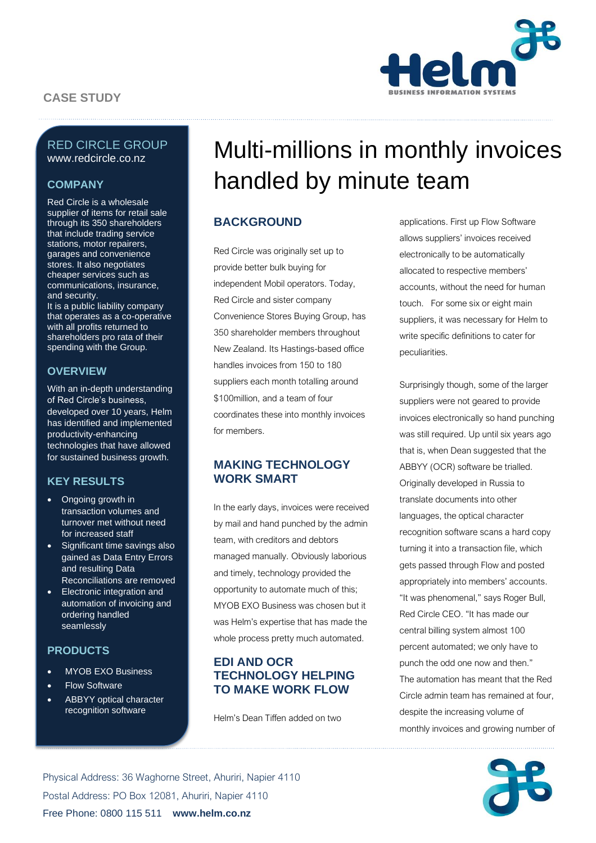# **CASE STUDY**



### RED CIRCLE GROUP www.redcircle.co.nz

### **COMPANY**

Red Circle is a wholesale supplier of items for retail sale through its 350 shareholders that include trading service stations, motor repairers, garages and convenience stores. It also negotiates cheaper services such as communications, insurance, and security.

It is a public liability company that operates as a co-operative with all profits returned to shareholders pro rata of their spending with the Group.

### **OVERVIEW**

With an in-depth understanding of Red Circle's business, developed over 10 years, Helm has identified and implemented productivity-enhancing technologies that have allowed for sustained business growth.

### **KEY RESULTS**

- Ongoing growth in transaction volumes and turnover met without need for increased staff
- Significant time savings also gained as Data Entry Errors and resulting Data Reconciliations are removed
- Electronic integration and automation of invoicing and ordering handled seamlessly

#### **PRODUCTS**

- MYOB EXO Business
- **Flow Software**
- **ABBYY** optical character recognition software

# Multi-millions in monthly invoices handled by minute team

## **BACKGROUND**

Red Circle was originally set up to provide better bulk buying for independent Mobil operators. Today, Red Circle and sister company Convenience Stores Buying Group, has 350 shareholder members throughout New Zealand. Its Hastings-based office handles invoices from 150 to 180 suppliers each month totalling around \$100million, and a team of four coordinates these into monthly invoices for members.

### **MAKING TECHNOLOGY WORK SMART**

In the early days, invoices were received by mail and hand punched by the admin team, with creditors and debtors managed manually. Obviously laborious and timely, technology provided the opportunity to automate much of this; MYOB EXO Business was chosen but it was Helm's expertise that has made the whole process pretty much automated.

## **EDI AND OCR TECHNOLOGY HELPING TO MAKE WORK FLOW**

Helm's Dean Tiffen added on two

applications. First up Flow Software allows suppliers' invoices received electronically to be automatically allocated to respective members' accounts, without the need for human touch. For some six or eight main suppliers, it was necessary for Helm to write specific definitions to cater for peculiarities.

Surprisingly though, some of the larger suppliers were not geared to provide invoices electronically so hand punching was still required. Up until six years ago that is, when Dean suggested that the ABBYY (OCR) software be trialled. Originally developed in Russia to translate documents into other languages, the optical character recognition software scans a hard copy turning it into a transaction file, which gets passed through Flow and posted appropriately into members' accounts. "It was phenomenal," says Roger Bull, Red Circle CEO. "It has made our central billing system almost 100 percent automated; we only have to punch the odd one now and then." The automation has meant that the Red Circle admin team has remained at four, despite the increasing volume of monthly invoices and growing number of



Physical Address: 36 Waghorne Street, Ahuriri, Napier 4110 Postal Address: PO Box 12081, Ahuriri, Napier 4110 Free Phone: 0800 115 511 **www.helm.co.nz**